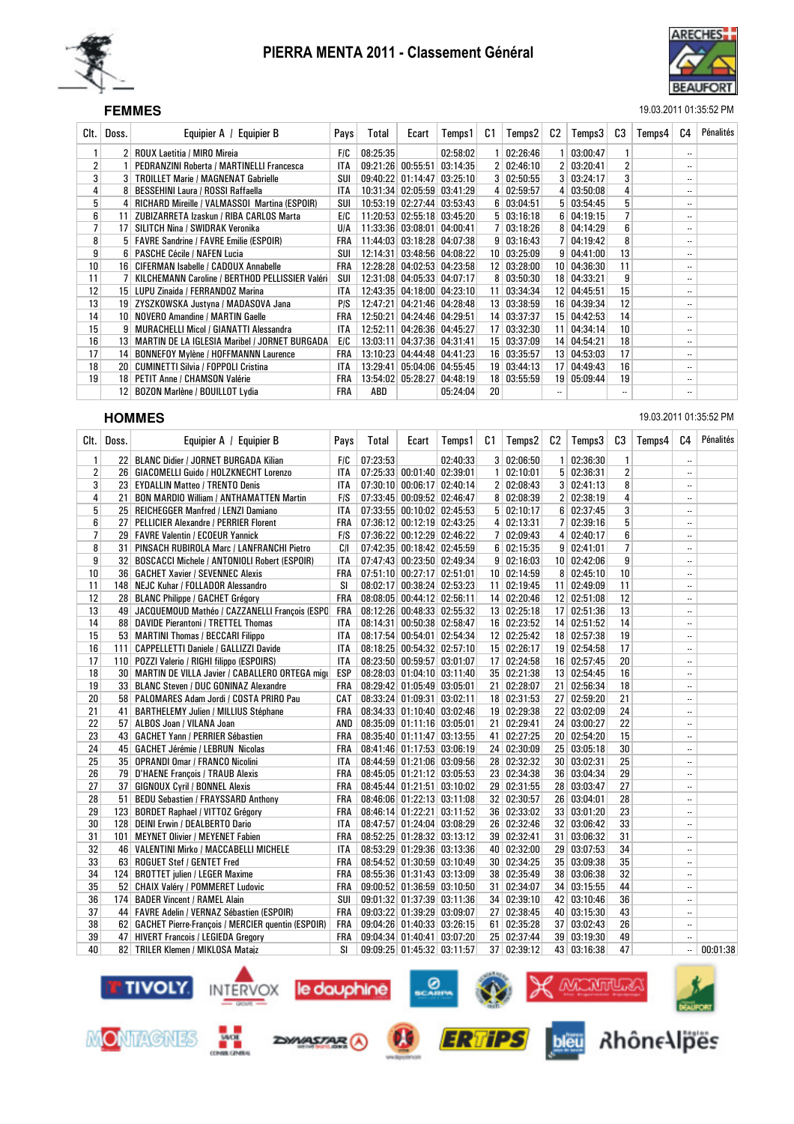



### SEF **FEMMES** 19.03.2011 01:35:52 PM

| Clt.            | Doss.           | Equipier A /<br><b>Equipier B</b>                | Pays       | Total    | Ecart               | Temps 1                    | C1 | Temps2       | C2 | Temps3             | C3                       | Temps4 | C4                         | Pénalités |
|-----------------|-----------------|--------------------------------------------------|------------|----------|---------------------|----------------------------|----|--------------|----|--------------------|--------------------------|--------|----------------------------|-----------|
|                 |                 | 2 ROUX Laetitia / MIRO Mireia                    | <b>FIC</b> | 08:25:35 |                     | 02:58:02                   |    | 02:26:46     |    | 03:00:47           |                          |        | $\overline{\phantom{a}}$   |           |
| 2               |                 | <b>PEDRANZINI Roberta / MARTINELLI Francesca</b> | ITA.       |          | $09:21:26$ 00:55:51 | 03:14:35                   |    | 02:46:10     |    | 2   03:20:41       | $\overline{2}$           |        | $\overline{\phantom{a}}$   |           |
| 3               | $\mathbf{3}$    | <b>TROILLET Marie / MAGNENAT Gabrielle</b>       | SUI        |          |                     | 09:40:22 01:14:47 03:25:10 |    | 3   02:50:55 |    | 3   03:24:17       | 3                        |        | $\ddotsc$                  |           |
| 4               |                 | <b>BESSEHINI Laura / ROSSI Raffaella</b>         | ITA        |          |                     | 10:31:34 02:05:59 03:41:29 |    | 02:59:57     |    | 4   03:50:08       | 4                        |        | $\overline{\phantom{a}}$   |           |
| 5               | 4               | RICHARD Mireille / VALMASSOI Martina (ESPOIR)    | SUI        |          |                     | 10:53:19 02:27:44 03:53:43 |    | 03:04:51     |    | 5   03:54:45       | 5                        |        | $\overline{\phantom{a}}$ . |           |
| 6               | 11              | ZUBIZARRETA Izaskun / RIBA CARLOS Marta          | E/C        |          |                     | 11:20:53 02:55:18 03:45:20 |    | 5   03:16:18 |    | 6   04:19:15       | 7                        |        | $\overline{\phantom{a}}$   |           |
|                 | 17              | SILITCH Nina / SWIDRAK Veronika                  | <b>U/A</b> |          |                     | 11:33:36 03:08:01 04:00:41 |    | 03:18:26     |    | 8   04:14:29       | 6                        |        | $\overline{\phantom{a}}$ . |           |
| 8               |                 | 5   FAVRE Sandrine / FAVRE Emilie (ESPOIR)       | FRA        |          |                     | 11:44:03 03:18:28 04:07:38 | 9  | 03:16:43     |    | 7   04:19:42       | 8                        |        | $\overline{\phantom{a}}$ . |           |
| 9               | 6               | <b>PASCHE Cécile / NAFEN Lucia</b>               | SUI        | 12:14:31 |                     | $03:48:56$ 04:08:22        | 10 | 03:25:09     |    | 9   04:41:00       | 13                       |        | $\overline{\phantom{a}}$   |           |
| 10 <sub>1</sub> | 16              | CIFERMAN Isabelle / CADOUX Annabelle             | FRA        |          |                     | 12:28:28 04:02:53 04:23:58 | 12 | 03:28:00     |    | 10   04:36:30      | 11                       |        | $\overline{\phantom{a}}$   |           |
| 11              |                 | KILCHEMANN Caroline / BERTHOD PELLISSIER Valéri  | SUI        |          |                     | 12:31:08 04:05:33 04:07:17 | 8  | 03:50:30     |    | 18 04:33:21        | 9                        |        | $\overline{\phantom{a}}$   |           |
| 12              | 15 <sup>1</sup> | LUPU Zinaida / FERRANDOZ Marina                  | ITA        |          |                     | 12:43:35 04:18:00 04:23:10 | 11 | 03:34:34     |    | 12 04:45:51        | 15                       |        | $\overline{\phantom{a}}$   |           |
| 13              | 19              | ZYSZKOWSKA Justyna / MADASOVA Jana               | P/S        | 12:47:21 |                     | 04:21:46 04:28:48          | 13 | 03:38:59     |    | 16 04:39:34        | 12                       |        | $\overline{\phantom{a}}$   |           |
| 14              | 10              | <b>NOVERO Amandine / MARTIN Gaelle</b>           | FRA        | 12:50:21 |                     | 04:24:46 04:29:51          | 14 | 03:37:37     |    | 15 04:42:53        | 14                       |        | $\overline{\phantom{a}}$ . |           |
| 15              | 9               | <b>MURACHELLI Micol / GIANATTI Alessandra</b>    | <b>ITA</b> | 12:52:11 |                     | 04:26:36 04:45:27          | 17 | 03:32:30     |    | $11 \mid 04:34:14$ | 10                       |        | $\overline{\phantom{a}}$   |           |
| 16              | 13              | MARTIN DE LA IGLESIA Maribel / JORNET BURGADA    | EIC        | 13:03:11 |                     | 04:37:36 04:31:41          | 15 | 03:37:09     |    | 14 04:54:21        | 18                       |        | $\overline{\phantom{a}}$   |           |
| 17              | 14              | <b>BONNEFOY Mylène / HOFFMANNN Laurence</b>      | FRA        | 13:10:23 |                     | 04:44:48 04:41:23          | 16 | 03:35:57     |    | 13   04:53:03      | 17                       |        | $\overline{\phantom{a}}$   |           |
| 18              | 20              | <b>CUMINETTI Silvia / FOPPOLI Cristina</b>       | <b>ITA</b> | 13:29:41 |                     | 05:04:06 04:55:45          | 19 | 03:44:13     |    | 17 04:49:43        | 16                       |        | $\overline{\phantom{a}}$   |           |
| 19              | 18              | PETIT Anne / CHAMSON Valérie                     | FRA        | 13:54:02 | 05:28:27            | 04:48:19                   | 18 | 03:55:59     |    | 19 05:09:44        | 19                       |        | $\overline{\phantom{a}}$   |           |
|                 | 12              | BOZON Marlène / BOUILLOT Lydia                   | FRA        | ABD      |                     | 05:24:04                   | 20 |              |    |                    | $\overline{\phantom{a}}$ |        | $\ddotsc$                  |           |
|                 |                 |                                                  |            |          |                     |                            |    |              |    |                    |                          |        |                            |           |

**HOMMES** 19.03.2011 01:35:52 PM

| CIt.         | Doss. | Equipier A / Equipier B                                | Pays       | Total    | Ecart                      | Temps1   | C1 | Temps2            | C2 | Temps3             | C3             | Temps4 | C <sub>4</sub>       | Pénalités |
|--------------|-------|--------------------------------------------------------|------------|----------|----------------------------|----------|----|-------------------|----|--------------------|----------------|--------|----------------------|-----------|
| $\mathbf{1}$ |       | 22 BLANC Didier / JORNET BURGADA Kilian                | FIC        | 07:23:53 |                            | 02:40:33 |    | 3   02:06:50      |    | 1   02:36:30       | 1              |        |                      |           |
| 2            |       | 26   GIACOMELLI Guido / HOLZKNECHT Lorenzo             | ITA        |          | 07:25:33 00:01:40 02:39:01 |          |    | 1   02:10:01      |    | 5   02:36:31       | 2              |        |                      |           |
| 3            |       | 23 EYDALLIN Matteo / TRENTO Denis                      | ITA        |          | 07:30:10 00:06:17 02:40:14 |          |    | 2 02:08:43        |    | 3   02:41:13       | 8              |        |                      |           |
| 4            | 21    | <b>BON MARDIO William / ANTHAMATTEN Martin</b>         | <b>FIS</b> |          | 07:33:45 00:09:52 02:46:47 |          |    | 8   02:08:39      |    | 2   02:38:19       | 4              |        | $\ddot{\phantom{a}}$ |           |
| 5            |       | 25   REICHEGGER Manfred / LENZI Damiano                | <b>ITA</b> |          | 07:33:55 00:10:02 02:45:53 |          |    | 5   02:10:17      |    | 6 02:37:45         | 3              |        |                      |           |
| 6            |       | 27   PELLICIER Alexandre / PERRIER Florent             | <b>FRA</b> |          | 07:36:12 00:12:19 02:43:25 |          |    | 4 02:13:31        |    | 7 02:39:16         | 5              |        |                      |           |
| 7            |       | 29   FAVRE Valentin / ECOEUR Yannick                   | F/S        |          | 07:36:22 00:12:29 02:46:22 |          |    | 7 02:09:43        |    | 4 02:40:17         | 6              |        | $\ddotsc$            |           |
| 8            |       | 31 PINSACH RUBIROLA Marc / LANFRANCHI Pietro           | C/I        |          | 07:42:35 00:18:42 02:45:59 |          |    | $6 \mid 02:15:35$ |    | 9   02:41:01       | $\overline{7}$ |        |                      |           |
| 9            |       | 32 BOSCACCI Michele / ANTONIOLI Robert (ESPOIR)        | ITA        |          | 07:47:43 00:23:50 02:49:34 |          |    | 9   02:16:03      |    | 10 02:42:06        | 9              |        |                      |           |
| 10           |       | 36   GACHET Xavier / SEVENNEC Alexis                   | FRA        |          | 07:51:10 00:27:17 02:51:01 |          |    | 10 02:14:59       |    | 8   02:45:10       | 10             |        |                      |           |
| 11           |       | 148 NEJC Kuhar / FOLLADOR Alessandro                   | <b>SI</b>  |          | 08:02:17 00:38:24 02:53:23 |          |    | 11 02:19:45       |    | 11 02:49:09        | 11             |        | $\ddot{\phantom{0}}$ |           |
| 12           |       | 28 BLANC Philippe / GACHET Grégory                     | <b>FRA</b> |          | 08:08:05 00:44:12 02:56:11 |          |    | 14 02:20:46       |    | $12 \mid 02:51:08$ | 12             |        |                      |           |
| 13           |       | 49 JACQUEMOUD Mathéo / CAZZANELLI François (ESPC       | <b>FRA</b> |          | 08:12:26 00:48:33 02:55:32 |          |    | 13 02:25:18       |    | 17 02:51:36        | 13             |        |                      |           |
| 14           |       | 88 DAVIDE Pierantoni / TRETTEL Thomas                  | ITA        |          | 08:14:31 00:50:38 02:58:47 |          |    | 16 02:23:52       |    | 14 02:51:52        | 14             |        |                      |           |
| 15           |       | 53   MARTINI Thomas / BECCARI Filippo                  | <b>ITA</b> |          | 08:17:54 00:54:01 02:54:34 |          |    | 12 02:25:42       |    | 18 02:57:38        | 19             |        | $\ddot{\phantom{0}}$ |           |
| 16           |       | 111   CAPPELLETTI Daniele / GALLIZZI Davide            | <b>ITA</b> |          | 08:18:25 00:54:32 02:57:10 |          |    | 15 02:26:17       |    | 19 02:54:58        | 17             |        |                      |           |
| 17           |       | 110 POZZI Valerio / RIGHI filippo (ESPOIRS)            | <b>ITA</b> |          | 08:23:50 00:59:57 03:01:07 |          |    | 17 02:24:58       |    | 16 02:57:45        | 20             |        |                      |           |
| 18           |       | 30   MARTIN DE VILLA Javier / CABALLERO ORTEGA migu    | <b>ESP</b> |          | 08:28:03 01:04:10 03:11:40 |          |    | 35 02:21:38       |    | 13 02:54:45        | 16             |        | $\ddotsc$            |           |
| 19           |       | 33 BLANC Steven / DUC GONINAZ Alexandre                | FRA        |          | 08:29:42 01:05:49 03:05:01 |          |    | 21 02:28:07       |    | 21 02:56:34        | 18             |        |                      |           |
| 20           |       | 58   PALOMARES Adam Jordi / COSTA PRIRO Pau            | CAT        |          | 08:33:24 01:09:31 03:02:11 |          |    | 18 02:31:53       |    | 27 02:59:20        | 21             |        |                      |           |
| 21           | 41    | <b>BARTHELEMY Julien / MILLIUS Stéphane</b>            | FRA        |          | 08:34:33 01:10:40 03:02:46 |          |    | 19 02:29:38       |    | 22   03:02:09      | 24             |        | $\ddot{\phantom{0}}$ |           |
| 22           |       | 57 ALBOS Joan / VILANA Joan                            | AND        |          | 08:35:09 01:11:16 03:05:01 |          |    | 21 02:29:41       |    | 24 03:00:27        | 22             |        |                      |           |
| 23           |       | 43   GACHET Yann / PERRIER Sébastien                   | FRA        |          | 08:35:40 01:11:47 03:13:55 |          |    | 41 02:27:25       |    | 20 02:54:20        | 15             |        |                      |           |
| 24           |       | 45   GACHET Jérémie / LEBRUN Nicolas                   | <b>FRA</b> |          | 08:41:46 01:17:53 03:06:19 |          |    | 24 02:30:09       |    | 25 03:05:18        | 30             |        |                      |           |
| 25           |       | 35   OPRANDI Omar / FRANCO Nicolini                    | ITA        |          | 08:44:59 01:21:06 03:09:56 |          |    | 28 02:32:32       |    | 30   03:02:31      | 25             |        | $\ddotsc$            |           |
| 26           |       | 79 D'HAENE François / TRAUB Alexis                     | <b>FRA</b> |          | 08:45:05 01:21:12 03:05:53 |          |    | 23 02:34:38       |    | 36 03:04:34        | 29             |        |                      |           |
| 27           |       | 37 GIGNOUX Cyril / BONNEL Alexis                       | <b>FRA</b> |          | 08:45:44 01:21:51 03:10:02 |          |    | 29 02:31:55       |    | 28 03:03:47        | 27             |        |                      |           |
| 28           |       | 51 BEDU Sebastien / FRAYSSARD Anthony                  | <b>FRA</b> |          | 08:46:06 01:22:13 03:11:08 |          |    | 32 02:30:57       |    | 26 03:04:01        | 28             |        |                      |           |
| 29           |       | 123 BORDET Raphael / VITTOZ Grégory                    | <b>FRA</b> |          | 08:46:14 01:22:21 03:11:52 |          |    | 36 02:33:02       |    | 33 03:01:20        | 23             |        |                      |           |
| 30           |       | 128 DEINI Erwin / DEALBERTO Dario                      | <b>ITA</b> |          | 08:47:57 01:24:04 03:08:29 |          |    | 26 02:32:46       |    | 32 03:06:42        | 33             |        |                      |           |
| 31           |       | 101   MEYNET Olivier / MEYENET Fabien                  | FRA        |          | 08:52:25 01:28:32 03:13:12 |          |    | 39 02:32:41       |    | 31 03:06:32        | 31             |        |                      |           |
| 32           |       | 46   VALENTINI Mirko / MACCABELLI MICHELE              | <b>ITA</b> |          | 08:53:29 01:29:36 03:13:36 |          |    | 40 02:32:00       |    | 29 03:07:53        | 34             |        |                      |           |
| 33           |       | 63   ROGUET Stef / GENTET Fred                         | <b>FRA</b> |          | 08:54:52 01:30:59 03:10:49 |          |    | 30 02:34:25       |    | 35 03:09:38        | 35             |        | $\ddotsc$            |           |
| 34           |       | 124 BROTTET julien / LEGER Maxime                      | FRA        |          | 08:55:36 01:31:43 03:13:09 |          |    | 38 02:35:49       |    | 38 03:06:38        | 32             |        |                      |           |
| 35           |       | 52 CHAIX Valéry / POMMERET Ludovic                     | <b>FRA</b> |          | 09:00:52 01:36:59 03:10:50 |          |    | 31 02:34:07       |    | 34   03:15:55      | 44             |        | $\ddot{\phantom{0}}$ |           |
| 36           |       | 174 BADER Vincent / RAMEL Alain                        | <b>SUI</b> |          | 09:01:32 01:37:39 03:11:36 |          |    | 34 02:39:10       |    | 42 03:10:46        | 36             |        |                      |           |
| 37           |       | 44   FAVRE Adelin / VERNAZ Sébastien (ESPOIR)          | <b>FRA</b> |          | 09:03:22 01:39:29 03:09:07 |          |    | 27 02:38:45       |    | 40 03:15:30        | 43             |        |                      |           |
| 38           |       | 62   GACHET Pierre-François / MERCIER quentin (ESPOIR) | <b>FRA</b> |          | 09:04:26 01:40:33 03:26:15 |          |    | 61 02:35:28       |    | 37 03:02:43        | 26             |        |                      |           |
| 39           |       | 47 HIVERT Francois / LEGIEDA Gregory                   | <b>FRA</b> |          | 09:04:34 01:40:41 03:07:20 |          |    | 25 02:37:44       |    | 39 03:19:30        | 49             |        |                      |           |
| 40           |       | 82 TRILER Klemen / MIKLOSA Mataiz                      | <b>SI</b>  |          | 09:09:25 01:45:32 03:11:57 |          |    | 37 02:39:12       |    | 43 03:16:38        | 47             |        |                      | 00:01:38  |

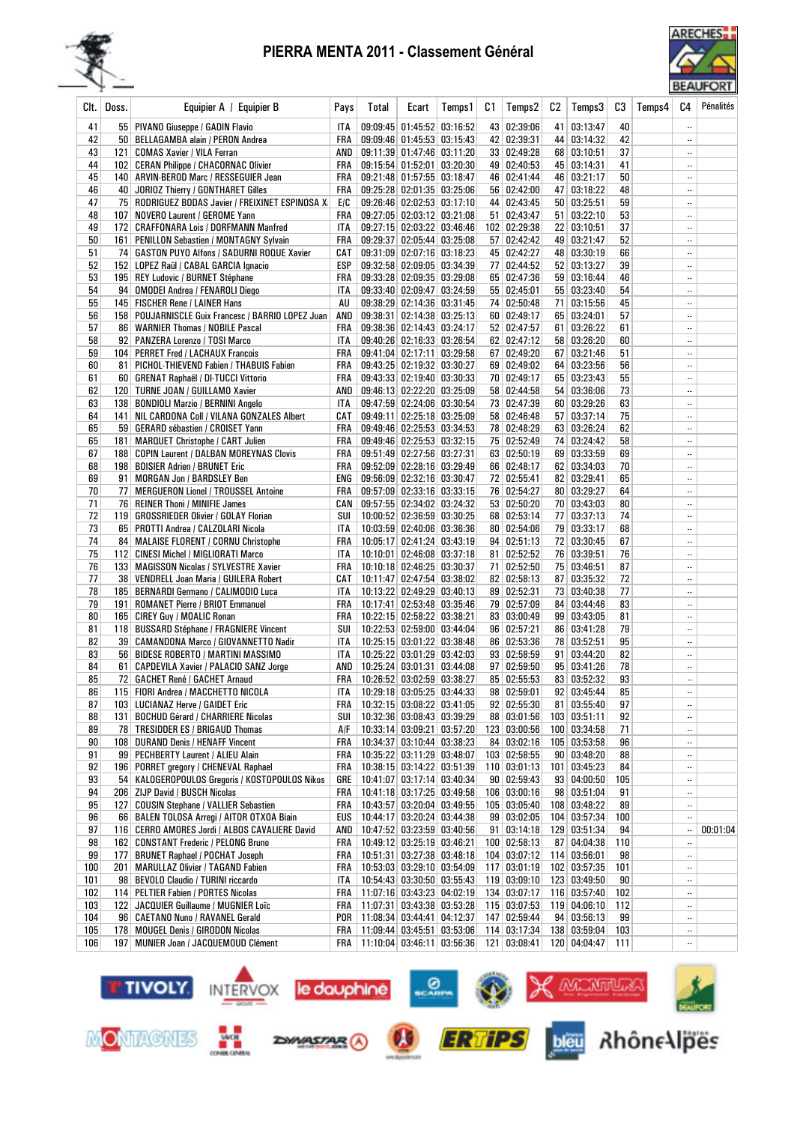



| Clt.      | Doss. | Equipier A / Equipier B                                                      | Pays              | Total | Ecart                                                                | Temps1 | C1 | Temps2                         | C2 | Temps3                       | CЗ        | Temps4 | C4                           | Pénalités |
|-----------|-------|------------------------------------------------------------------------------|-------------------|-------|----------------------------------------------------------------------|--------|----|--------------------------------|----|------------------------------|-----------|--------|------------------------------|-----------|
| 41        |       | 55 PIVANO Giuseppe / GADIN Flavio                                            | ITA               |       | 09:09:45 01:45:52 03:16:52                                           |        |    | 43 02:39:06                    |    | 41 03:13:47                  | 40        |        | $\ddotsc$                    |           |
| 42        |       | 50 BELLAGAMBA alain / PERON Andrea                                           |                   |       | FRA   09:09:46   01:45:53   03:15:43                                 |        |    | 42 02:39:31                    |    | 44 03:14:32                  | 42        |        | $\ldots$                     |           |
| 43        |       | 121   COMAS Xavier / VILA Ferran                                             |                   |       | AND 09:11:39 01:47:46 03:11:20                                       |        |    | 33 02:49:28                    |    | 68 03:10:51                  | 37        |        |                              |           |
| 44        |       | 102   CERAN Philippe / CHACORNAC Olivier                                     |                   |       | FRA 09:15:54 01:52:01 03:20:30                                       |        |    | 49 02:40:53                    |    | 45 03:14:31                  | 41        |        | $\ldots$                     |           |
| 45        |       | 140 ARVIN-BEROD Marc / RESSEGUIER Jean                                       |                   |       | FRA 09:21:48 01:57:55 03:18:47                                       |        |    | 46 02:41:44                    |    | 46 03:21:17                  | 50        |        | $\ddotsc$                    |           |
| 46        |       | 40 JORIOZ Thierry / GONTHARET Gilles                                         |                   |       | FRA 09:25:28 02:01:35 03:25:06                                       |        |    | 56 02:42:00                    |    | 47 03:18:22                  | 48        |        | $\ddotsc$                    |           |
| 47<br>48  |       | 75   RODRIGUEZ BODAS Javier / FREIXINET ESPINOSA X                           | E/C               |       | 09:26:46 02:02:53 03:17:10<br>09:27:05 02:03:12 03:21:08             |        |    | 44 02:43:45                    |    | 50   03:25:51<br>51 03:22:10 | 59        |        | $\ddotsc$                    |           |
| 49        |       | 107   NOVERO Laurent / GEROME Yann<br>172 CRAFFONARA Lois / DORFMANN Manfred | <b>FRA</b><br>ITA |       | 09:27:15 02:03:22 03:46:46                                           |        |    | 51 02:43:47<br>102 02:29:38    |    | 22 03:10:51                  | 53<br>37  |        | <br>$\ddotsc$                |           |
| 50        |       | 161 PENILLON Sebastien / MONTAGNY Sylvain                                    |                   |       | FRA 09:29:37 02:05:44 03:25:08                                       |        |    | 57 02:42:42                    |    | 49 03:21:47                  | 52        |        |                              |           |
| 51        |       | 74   GASTON PUYO Alfons / SADURNI ROQUE Xavier                               |                   |       | CAT   09:31:09   02:07:16   03:18:23                                 |        |    | 45 02:42:27                    |    | 48 03:30:19                  | 66        |        | $\ddotsc$                    |           |
| 52        |       | 152 LOPEZ Raül / CABAL GARCIA Ignacio                                        |                   |       | ESP   09:32:58   02:09:05   03:34:39                                 |        |    | 77 02:44:52                    |    | 52 03:13:27                  | 39        |        | $\ddotsc$                    |           |
| 53        |       | 195   REY Ludovic / BURNET Stéphane                                          |                   |       | FRA   09:33:28 02:09:35 03:29:08                                     |        |    | 65 02:47:36                    |    | 59 03:16:44                  | 46        |        | $\ldots$                     |           |
| 54        |       | 94   OMODEI Andrea / FENAROLI Diego                                          | ITA               |       | 09:33:40 02:09:47 03:24:59                                           |        |    | 55   02:45:01                  |    | 55 03:23:40                  | 54        |        | $\overline{\phantom{a}}$     |           |
| 55        |       | 145   FISCHER Rene / LAINER Hans                                             | AU                |       | 09:38:29 02:14:36 03:31:45                                           |        |    | 74 02:50:48                    |    | 71 03:15:56                  | 45        |        | $\overline{\phantom{a}}$     |           |
| 56        |       | 158 POUJARNISCLE Guix Francesc / BARRIO LOPEZ Juan                           |                   |       | AND 09:38:31 02:14:38 03:25:13                                       |        |    | 60 02:49:17                    |    | 65 03:24:01                  | 57        |        | $\ldots$                     |           |
| 57        |       | 86   WARNIER Thomas / NOBILE Pascal                                          |                   |       | FRA   09:38:36   02:14:43   03:24:17                                 |        |    | 52 02:47:57                    |    | 61 03:26:22                  | 61        |        | $\ldots$                     |           |
| 58        |       | 92   PANZERA Lorenzo / TOSI Marco                                            | ITA               |       | 09:40:26 02:16:33 03:26:54                                           |        |    | 62 02:47:12                    |    | 58 03:26:20                  | 60        |        | $\ddotsc$                    |           |
| 59        |       | 104   PERRET Fred / LACHAUX Francois                                         |                   |       | FRA 09:41:04 02:17:11 03:29:58                                       |        |    | 67 02:49:20                    |    | 67 03:21:46                  | 51        |        | $\ldots$                     |           |
| 60        |       | 81   PICHOL-THIEVEND Fabien / THABUIS Fabien                                 |                   |       | FRA 09:43:25 02:19:32 03:30:27                                       |        |    | 69 02:49:02                    |    | 64 03:23:56                  | 56        |        | $\ldots$                     |           |
| 61        |       | 60   GRENAT Raphaël / DI-TUCCI Vittorio                                      |                   |       | FRA 09:43:33 02:19:40 03:30:33                                       |        |    | 70 02:49:17                    |    | 65 03:23:43                  | 55        |        | $\ddotsc$                    |           |
| 62        |       | 120 TURNE JOAN / GUILLAMO Xavier                                             |                   |       | AND 09:46:13 02:22:20 03:25:09                                       |        |    | 58 02:44:58                    |    | 54   03:36:06                | 73        |        | $\ddotsc$                    |           |
| 63        |       | 138   BONDIOLI Marzio / BERNINI Angelo                                       |                   |       | ITA 09:47:59 02:24:06 03:30:54                                       |        |    | 73 02:47:39                    |    | 60 03:29:26                  | 63        |        | $\overline{\phantom{a}}$     |           |
| 64        |       | 141   NIL CARDONA Coll / VILANA GONZALES Albert                              |                   |       | CAT   09:49:11   02:25:18   03:25:09                                 |        |    | 58 02:46:48                    |    | 57 03:37:14                  | 75        |        | $\ldots$                     |           |
| 65        |       | 59 GERARD sébastien / CROISET Yann                                           |                   |       | FRA   09:49:46   02:25:53   03:34:53                                 |        |    | 78 02:48:29                    |    | 63 03:26:24                  | 62        |        |                              |           |
| 65        | 181   | <b>MARQUET Christophe / CART Julien</b>                                      |                   |       | FRA 09:49:46 02:25:53 03:32:15                                       |        |    | 75 02:52:49                    |    | 74 03:24:42                  | 58        |        |                              |           |
| 67<br>68  |       | 188   COPIN Laurent / DALBAN MOREYNAS Clovis                                 |                   |       | FRA 09:51:49 02:27:56 03:27:31<br>FRA 09:52:09 02:28:16 03:29:49     |        |    | 63 02:50:19<br>66 02:48:17     |    | 69 03:33:59<br>62 03:34:03   | 69<br>70  |        | $\ldots$<br>$\ddotsc$        |           |
| 69        |       | 198   BOISIER Adrien / BRUNET Eric<br>91   MORGAN Jon / BARDSLEY Ben         |                   |       | ENG 09:56:09 02:32:16 03:30:47                                       |        |    | 72 02:55:41                    |    | 82 03:29:41                  | 65        |        | $\ddotsc$                    |           |
| 70        |       | 77   MERGUERON Lionel / TROUSSEL Antoine                                     |                   |       | FRA 09:57:09 02:33:16 03:33:15                                       |        |    | 76 02:54:27                    |    | 80 03:29:27                  | 64        |        | $\ldots$                     |           |
| 71        |       | 76 REINER Thoni / MINIFIE James                                              |                   |       | CAN   09:57:55   02:34:02   03:24:32                                 |        |    | 53   02:50:20                  |    | 70 03:43:03                  | 80        |        |                              |           |
| 72        |       | 119   GROSSRIEDER Olivier / GOLAY Florian                                    | SUI               |       | 10:00:52 02:36:59 03:30:25                                           |        |    | 68 02:53:14                    |    | 77 03:37:13                  | 74        |        | $\ddotsc$                    |           |
| 73        |       | 65   PROTTI Andrea / CALZOLARI Nicola                                        | ITA               |       | 10:03:59 02:40:06 03:36:36                                           |        |    | 80 02:54:06                    |    | 79 03:33:17                  | 68        |        |                              |           |
| 74        |       | 84   MALAISE FLORENT / CORNU Christophe                                      |                   |       | FRA   10:05:17 02:41:24 03:43:19                                     |        |    | 94 02:51:13                    |    | 72 03:30:45                  | 67        |        | $\ldots$                     |           |
| 75        |       | 112 CINESI Michel / MIGLIORATI Marco                                         | ITA               |       | 10:10:01 02:46:08 03:37:18                                           |        |    | 81 02:52:52                    |    | 76 03:39:51                  | 76        |        | $\ddotsc$                    |           |
| 76        |       | 133   MAGISSON Nicolas / SYLVESTRE Xavier                                    |                   |       | FRA   10:10:18 02:46:25 03:30:37                                     |        |    | 71 02:52:50                    |    | 75 03:46:51                  | 87        |        | $\overline{\phantom{a}}$     |           |
| 77        |       | 38   VENDRELL Joan Maria / GUILERA Robert                                    |                   |       | CAT   10:11:47 02:47:54 03:38:02                                     |        |    | 82 02:58:13                    |    | 87 03:35:32                  | 72        |        | $\ldots$                     |           |
| 78        |       | 185   BERNARDI Germano / CALIMODIO Luca                                      | ITA               |       | 10:13:22 02:49:29 03:40:13                                           |        |    | 89 02:52:31                    |    | 73 03:40:38                  | 77        |        |                              |           |
| 79        |       | 191   ROMANET Pierre / BRIOT Emmanuel                                        |                   |       | FRA   10:17:41 02:53:48 03:35:46                                     |        |    | 79 02:57:09                    |    | 84 03:44:46                  | 83        |        | $\ddotsc$                    |           |
| 80        |       | 165 CIREY Guy / MOALIC Ronan                                                 |                   |       | FRA   10:22:15 02:58:22 03:38:21                                     |        |    | 83 03:00:49                    |    | 99 03:43:05                  | 81        |        |                              |           |
| 81        |       | 118 BUSSARD Stéphane / FRAGNIERE Vincent                                     | SUI               |       | 10:22:53 02:59:00 03:44:04                                           |        |    | 96 02:57:21                    |    | 86 03:41:28                  | 79        |        | $\ldots$                     |           |
| 82        |       | 39   CAMANDONA Marco / GIOVANNETTO Nadir                                     | ITA               |       | 10:25:15 03:01:22 03:38:48                                           |        |    | 86 02:53:36                    |    | 78 03:52:51                  | 95        |        | $\ddotsc$                    |           |
| 83<br>84  |       | 56 BIDESE ROBERTO / MARTINI MASSIMO                                          | ITA               |       | 10:25:22 03:01:29 03:42:03<br>AND   10:25:24 03:01:31 03:44:08       |        |    | 93 02:58:59<br>97   02:59:50   |    | 91   03:44:20<br>95 03:41:26 | 82<br>78  |        | $\ddotsc$<br>$\ddotsc$       |           |
| 85        |       | 61 CAPDEVILA Xavier / PALACIO SANZ Jorge<br>72 GACHET René / GACHET Arnaud   |                   |       | FRA   10:26:52 03:02:59 03:38:27                                     |        |    | 85 02:55:53                    |    | 83 03:52:32                  | 93        |        | $\overline{\phantom{a}}$     |           |
| 86        |       | 115 FIORI Andrea / MACCHETTO NICOLA   ITA   10:29:18 03:05:25 03:44:33       |                   |       |                                                                      |        |    | 98 02:59:01                    |    | 92 03:45:44                  | 85        |        | $\overline{\phantom{a}}$     |           |
| 87        |       | 103 LUCIANAZ Herve / GAIDET Eric                                             | FRA               |       | 10:32:15 03:08:22 03:41:05                                           |        |    | 92   02:55:30                  |    | 81 03:55:40                  | 97        |        | $\ddotsc$                    |           |
| 88        | 131   | <b>BOCHUD Gérard / CHARRIERE Nicolas</b>                                     | SUI               |       | 10:32:36 03:08:43 03:39:29                                           |        |    | 88 03:01:56                    |    | 103 03:51:11                 | 92        |        |                              |           |
| 89        |       | 78   TRESIDDER ES / BRIGAUD Thomas                                           | A/F               |       | 10:33:14 03:09:21 03:57:20                                           |        |    | 123 03:00:56                   |    | 100 03:34:58                 | 71        |        |                              |           |
| 90        |       | 108 DURAND Denis / HENAFF Vincent                                            | FRA               |       | 10:34:37 03:10:44 03:38:23                                           |        |    | 84 03:02:16                    |    | 105 03:53:58                 | 96        |        |                              |           |
| 91        |       | 99 PECHBERTY Laurent / ALIEU Alain                                           | FRA               |       | 10:35:22 03:11:29 03:48:07                                           |        |    | 103 02:58:55                   |    | 90 03:48:20                  | 88        |        |                              |           |
| 92        |       | 196 PORRET gregory / CHENEVAL Raphael                                        | FRA               |       | 10:38:15 03:14:22 03:51:39                                           |        |    | 110 03:01:13                   |    | 101 03:45:23                 | 84        |        |                              |           |
| 93        |       | 54   KALOGEROPOULOS Gregoris / KOSTOPOULOS Nikos                             |                   |       | GRE   10:41:07 03:17:14 03:40:34                                     |        |    | 90 02:59:43                    |    | 93 04:00:50                  | 105       |        |                              |           |
| 94        |       | 206   ZIJP David / BUSCH Nicolas                                             | FRA               |       | 10:41:18 03:17:25 03:49:58                                           |        |    | 106 03:00:16                   |    | 98 03:51:04                  | 91        |        |                              |           |
| 95        | 127   | <b>COUSIN Stephane / VALLIER Sebastien</b>                                   | FRA               |       | 10:43:57 03:20:04 03:49:55                                           |        |    | 105 03:05:40                   |    | 108 03:48:22                 | 89        |        |                              |           |
| 96        |       | 66 BALEN TOLOSA Arregi / AITOR OTXOA Biain                                   | EUS               |       | 10:44:17 03:20:24 03:44:38                                           |        |    | 99 03:02:05                    |    | 104 03:57:34                 | 100       |        |                              |           |
| 97        |       | 116 CERRO AMORES Jordi / ALBOS CAVALIERE David                               | AND               |       | 10:47:52 03:23:59 03:40:56                                           |        |    | 91   03:14:18                  |    | 129 03:51:34                 | 94        |        |                              | 00:01:04  |
| 98        |       | 162 CONSTANT Frederic / PELONG Bruno                                         |                   |       | FRA   10:49:12 03:25:19 03:46:21                                     |        |    | 100 02:58:13                   |    | 87 04:04:38                  | 110       |        |                              |           |
| 99<br>100 |       | 177 BRUNET Raphael / POCHAT Joseph<br>201   MARULLAZ Olivier / TAGAND Fabien |                   |       | FRA   10:51:31 03:27:38 03:48:18<br>FRA   10:53:03 03:29:10 03:54:09 |        |    | 104 03:07:12<br>$117$ 03:01:19 |    | 114 03:56:01<br>102 03:57:35 | 98<br>101 |        | <br>$\overline{\phantom{a}}$ |           |
| 101       |       | 98   BEVOLO Claudio / TURINI riccardo                                        | ITA               |       | 10:54:43 03:30:50 03:55:43                                           |        |    | 119 03:09:10                   |    | 123 03:49:50                 | 90        |        |                              |           |
| 102       |       | 114 PELTIER Fabien / PORTES Nicolas                                          | FRA               |       | 11:07:16 03:43:23 04:02:19                                           |        |    | 134 03:07:17                   |    | 116 03:57:40                 | 102       |        |                              |           |
| 103       |       | 122 JACQUIER Guillaume / MUGNIER Loïc                                        | FRA               |       | 11:07:31 03:43:38 03:53:28                                           |        |    | 115 03:07:53                   |    | 119 04:06:10                 | 112       |        |                              |           |
| 104       |       | 96   CAETANO Nuno / RAVANEL Gerald                                           |                   |       | POR   11:08:34 03:44:41 04:12:37                                     |        |    | 147 02:59:44                   |    | 94 03:56:13                  | 99        |        |                              |           |
| 105       |       | 178 MOUGEL Denis / GIRODON Nicolas                                           | FRA               |       | 11:09:44 03:45:51 03:53:06                                           |        |    | 114 03:17:34                   |    | 138 03:59:04                 | 103       |        | $\ddotsc$                    |           |
| 106       |       | 197   MUNIER Joan / JACQUEMOUD Clément                                       |                   |       | FRA   11:10:04 03:46:11 03:56:36                                     |        |    | 121   03:08:41                 |    | 120 04:04:47                 | 111       |        |                              |           |

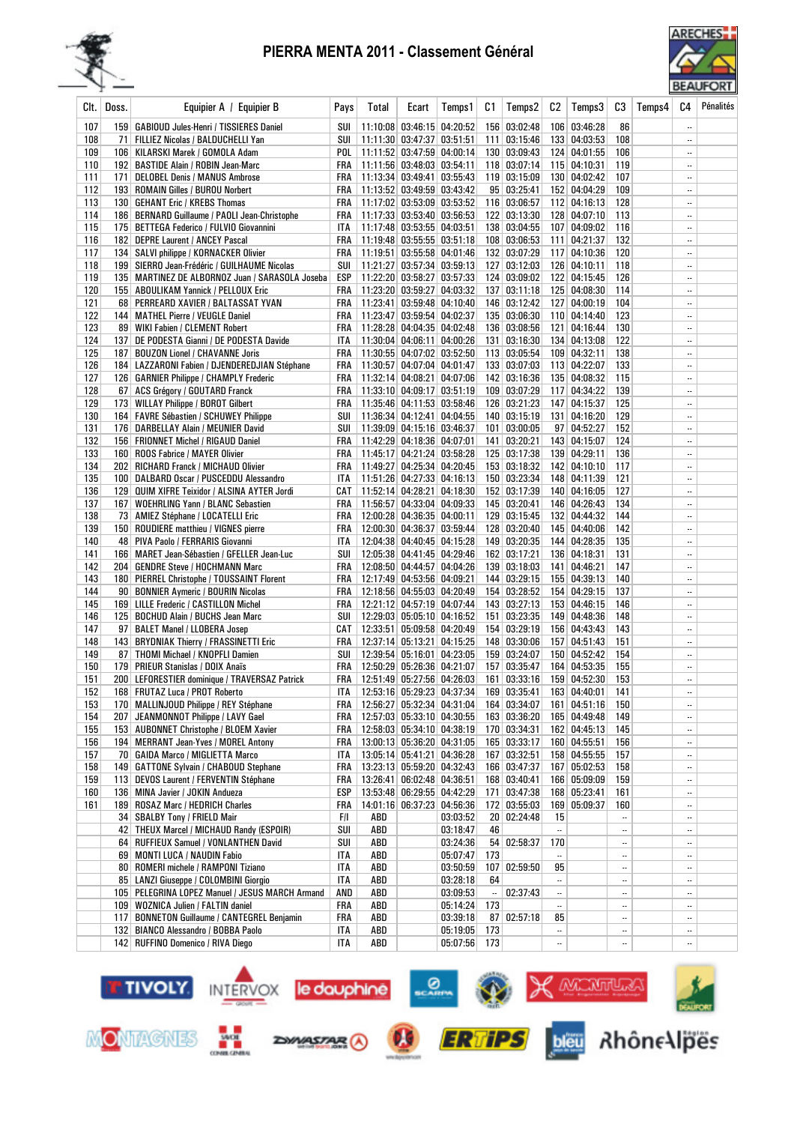



| Clt.       | Doss. | Equipier A / Equipier B                                                        | Pays              | Total | Ecart                                                                    | Temps1   | C1        | Temps2                       | C2        | Temps3                       | CЗ         | Temps4 | C4                                    | Pénalités |
|------------|-------|--------------------------------------------------------------------------------|-------------------|-------|--------------------------------------------------------------------------|----------|-----------|------------------------------|-----------|------------------------------|------------|--------|---------------------------------------|-----------|
| 107        |       | 159   GABIOUD Jules-Henri / TISSIERES Daniel                                   | SUI               |       | 11:10:08 03:46:15 04:20:52                                               |          |           | 156 03:02:48                 |           | 106 03:46:28                 | 86         |        | $\overline{\phantom{a}}$              |           |
| 108        |       | 71   FILLIEZ Nicolas / BALDUCHELLI Yan                                         | SUI               |       | 11:11:30 03:47:37 03:51:51                                               |          |           | 111   03:15:46               |           | 133 04:03:53                 | 108        |        |                                       |           |
| 109        |       | 106   KILARSKI Marek / GOMOLA Adam                                             |                   |       | POL   11:11:52 03:47:59 04:00:14                                         |          |           | 130 03:09:43                 |           | 124 04:01:55                 | 106        |        | $\ddotsc$                             |           |
| 110        |       | 192 BASTIDE Alain / ROBIN Jean-Marc                                            | FRA               |       | 11:11:56 03:48:03 03:54:11                                               |          |           | $118$ 03:07:14               |           | 115 04:10:31                 | 119        |        |                                       |           |
| 111        |       | 171   DELOBEL Denis / MANUS Ambrose                                            |                   |       | FRA   11:13:34 03:49:41 03:55:43                                         |          |           | 119 03:15:09                 |           | 130 04:02:42                 | 107        |        | $\ddotsc$                             |           |
| 112        |       | 193 ROMAIN Gilles / BUROU Norbert                                              |                   |       | FRA   11:13:52 03:49:59 03:43:42                                         |          |           | 95 03:25:41                  |           | 152 04:04:29                 | 109        |        | $\ldots$                              |           |
| 113        |       | 130   GEHANT Eric / KREBS Thomas                                               |                   |       | FRA   11:17:02 03:53:09 03:53:52                                         |          |           | 116 03:06:57                 |           | 112 04:16:13                 | 128        |        | $\ldots$                              |           |
| 114        |       | 186   BERNARD Guillaume / PAOLI Jean-Christophe                                | FRA               |       | 11:17:33 03:53:40 03:56:53                                               |          |           | 122 03:13:30                 |           | 128 04:07:10                 | 113        |        |                                       |           |
| 115        |       | 175 BETTEGA Federico / FULVIO Giovannini                                       | ITA<br><b>FRA</b> |       | 11:17:48 03:53:55 04:03:51<br>11:19:48 03:55:55 03:51:18                 |          |           | 138 03:04:55<br>108 03:06:53 |           | 107 04:09:02<br>111 04:21:37 | 116<br>132 |        | <br>$\ddotsc$                         |           |
| 116<br>117 |       | 182 DEPRE Laurent / ANCEY Pascal<br>134   SALVI philippe / KORNACKER Olivier   | FRA               |       | 11:19:51 03:55:58 04:01:46                                               |          |           | 132 03:07:29                 |           | 117 04:10:36                 | 120        |        | $\ddotsc$                             |           |
| 118        |       | 199   SIERRO Jean-Frédéric / GUILHAUME Nicolas                                 | SUI               |       | 11:21:27 03:57:34 03:59:13                                               |          |           | 127 03:12:03                 |           | 126 04:10:11                 | 118        |        | $\ddotsc$                             |           |
| 119        |       | 135   MARTINEZ DE ALBORNOZ Juan / SARASOLA Joseba                              | ESP               |       | 11:22:20 03:58:27 03:57:33                                               |          |           | 124 03:09:02                 |           | 122 04:15:45                 | 126        |        | $\ldots$                              |           |
| 120        |       | 155   ABOULIKAM Yannick / PELLOUX Eric                                         |                   |       | FRA   11:23:20 03:59:27 04:03:32                                         |          |           | 137 03:11:18                 |           | 125 04:08:30                 | 114        |        | $\ldots$                              |           |
| 121        |       | 68 PERREARD XAVIER / BALTASSAT YVAN                                            | FRA               |       | 11:23:41 03:59:48 04:10:40                                               |          |           | 146 03:12:42                 |           | 127 04:00:19                 | 104        |        |                                       |           |
| 122        |       | 144   MATHEL Pierre / VEUGLE Daniel                                            |                   |       | FRA   11:23:47 03:59:54 04:02:37                                         |          |           | 135 03:06:30                 |           | 110 04:14:40                 | 123        |        |                                       |           |
| 123        |       | 89 WIKI Fabien / CLEMENT Robert                                                | FRA               |       | 11:28:28 04:04:35 04:02:48                                               |          |           | 136 03:08:56                 |           | 121 04:16:44                 | 130        |        |                                       |           |
| 124        |       | 137 DE PODESTA Gianni / DE PODESTA Davide                                      | ITA               |       | 11:30:04 04:06:11 04:00:26                                               |          |           | 131 03:16:30                 |           | 134 04:13:08                 | 122        |        |                                       |           |
| 125        |       | 187   BOUZON Lionel / CHAVANNE Joris                                           | FRA               |       | 11:30:55 04:07:02 03:52:50                                               |          |           | 113 03:05:54                 |           | 109 04:32:11                 | 138        |        | $\ldots$                              |           |
| 126        |       | 184   LAZZARONI Fabien / DJENDEREDJIAN Stéphane                                | FRA               |       | 11:30:57 04:07:04 04:01:47                                               |          |           | 133   03:07:03               |           | 113 04:22:07                 | 133        |        | $\ddotsc$                             |           |
| 127        |       | 126   GARNIER Philippe / CHAMPLY Frederic                                      |                   |       | FRA   11:32:14   04:08:21   04:07:06                                     |          |           | 142 03:16:36                 |           | 135 04:08:32                 | 115        |        | $\ddotsc$                             |           |
| 128        |       | 67 ACS Grégory / GOUTARD Franck                                                | FRA               |       | 11:33:10 04:09:17 03:51:19                                               |          |           | 109 03:07:29                 |           | 117 04:34:22                 | 139        |        | $\ddotsc$                             |           |
| 129        |       | 173   WILLAY Philippe / BOROT Gilbert                                          | FRA               |       | 11:35:46 04:11:53 03:58:46                                               |          |           | 126 03:21:23                 |           | 147 04:15:37                 | 125        |        |                                       |           |
| 130        |       | 164   FAVRE Sébastien / SCHUWEY Philippe                                       | SUI               |       | 11:36:34 04:12:41 04:04:55                                               |          |           | 140 03:15:19                 |           | 131 04:16:20                 | 129        |        |                                       |           |
| 131        |       | 176 DARBELLAY Alain / MEUNIER David                                            | SUI               |       | 11:39:09 04:15:16 03:46:37                                               |          |           | 101 03:00:05                 |           | 97 04:52:27                  | 152        |        |                                       |           |
| 132        |       | 156   FRIONNET Michel / RIGAUD Daniel                                          | FRA               |       | 11:42:29 04:18:36 04:07:01                                               |          |           | 141 03:20:21                 |           | 143 04:15:07                 | 124        |        | $\ldots$                              |           |
| 133        |       | 160 ROOS Fabrice / MAYER Olivier                                               |                   |       | FRA   11:45:17 04:21:24 03:58:28                                         |          |           | 125 03:17:38                 |           | 139 04:29:11                 | 136        |        | $\ddotsc$                             |           |
| 134        |       | 202 RICHARD Franck / MICHAUD Olivier                                           |                   |       | FRA   11:49:27   04:25:34   04:20:45                                     |          |           | 153 03:18:32                 |           | 142 04:10:10                 | 117        |        | $\ddotsc$                             |           |
| 135        |       | 100 DALBARD Oscar / PUSCEDDU Alessandro                                        | ITA               |       | 11:51:26 04:27:33 04:16:13                                               |          |           | 150 03:23:34                 |           | 148 04:11:39                 | 121        |        | $\ddotsc$                             |           |
| 136<br>137 |       | 129   QUIM XIFRE Teixidor / ALSINA AYTER Jordi                                 |                   |       | CAT   11:52:14   04:28:21   04:18:30<br>FRA   11:56:57 04:33:04 04:09:33 |          |           | 152 03:17:39<br>145 03:20:41 |           | 140 04:16:05<br>146 04:26:43 | 127<br>134 |        | <br>$\ddotsc$                         |           |
| 138        |       | 167   WOEHRLING Yann / BLANC Sebastien<br>73   AMIEZ Stéphane / LOCATELLI Eric | FRA               |       | 12:00:28 04:36:35 04:00:11                                               |          |           | 129 03:15:45                 |           | 132 04:44:32                 | 144        |        | н.                                    |           |
| 139        |       | 150 ROUDIERE matthieu / VIGNES pierre                                          | FRA               |       | 12:00:30 04:36:37 03:59:44                                               |          |           | 128 03:20:40                 |           | 145 04:40:06                 | 142        |        |                                       |           |
| 140        |       | 48 PIVA Paolo / FERRARIS Giovanni                                              | ITA               |       | 12:04:38 04:40:45 04:15:28                                               |          |           | 149 03:20:35                 |           | 144 04:28:35                 | 135        |        |                                       |           |
| 141        |       | 166   MARET Jean-Sébastien / GFELLER Jean-Luc                                  | SUI               |       | 12:05:38 04:41:45 04:29:46                                               |          |           | 162 03:17:21                 |           | 136 04:18:31                 | 131        |        | $\ddotsc$                             |           |
| 142        |       | 204 GENDRE Steve / HOCHMANN Marc                                               | FRA               |       | 12:08:50 04:44:57 04:04:26                                               |          |           | 139 03:18:03                 |           | 141 04:46:21                 | 147        |        | $\ddotsc$                             |           |
| 143        |       | 180 PIERREL Christophe / TOUSSAINT Florent                                     | FRA               |       | 12:17:49 04:53:56 04:09:21                                               |          |           | 144 03:29:15                 |           | 155 04:39:13                 | 140        |        |                                       |           |
| 144        |       | 90   BONNIER Aymeric / BOURIN Nicolas                                          | FRA               |       | 12:18:56 04:55:03 04:20:49                                               |          |           | 154 03:28:52                 |           | 154 04:29:15                 | 137        |        |                                       |           |
| 145        |       | 169 LILLE Frederic / CASTILLON Michel                                          | FRA               |       | 12:21:12 04:57:19 04:07:44                                               |          |           | 143 03:27:13                 |           | 153 04:46:15                 | 146        |        |                                       |           |
| 146        |       | 125   BOCHUD Alain / BUCHS Jean Marc                                           | SUI               |       | 12:29:03 05:05:10 04:16:52                                               |          |           | 151 03:23:35                 |           | 149 04:48:36                 | 148        |        | $\ddotsc$                             |           |
| 147        |       | 97   BALET Manel / LLOBERA Josep                                               |                   |       | CAT   12:33:51   05:09:58   04:20:49                                     |          |           | 154 03:29:19                 |           | 156 04:43:43                 | 143        |        |                                       |           |
| 148        |       | 143 BRYDNIAK Thierry / FRASSINETTI Eric                                        |                   |       | FRA   12:37:14 05:13:21 04:15:25                                         |          |           | 148 03:30:06                 |           | 157 04:51:43                 | 151        |        | $\ddotsc$                             |           |
| 149        |       | 87   THOMI Michael / KNOPFLI Damien                                            |                   |       | SUI   12:39:54 05:16:01 04:23:05                                         |          |           | 159 03:24:07                 |           | 150 04:52:42                 | 154        |        | $\ddotsc$                             |           |
| 150        |       | 179   PRIEUR Stanislas / DOIX Anaïs                                            |                   |       | FRA   12:50:29 05:26:36 04:21:07                                         |          |           | 157 03:35:47                 |           | 164 04:53:35                 | 155        |        | $\ddotsc$                             |           |
| 151        |       | 200   LEFORESTIER dominique / TRAVERSAZ Patrick                                |                   |       | FRA   12:51:49 05:27:56 04:26:03                                         |          |           | 161 03:33:16 159 04:52:30    |           |                              | 153        |        |                                       |           |
| 152        |       | 168 FRUTAZ Luca / PROT Roberto                                                 |                   |       | ITA 12:53:16 05:29:23 04:37:34                                           |          |           | 169 03:35:41                 |           | 163 04:40:01                 | 141        |        | $\ddotsc$                             |           |
| 153        |       | 170   MALLINJOUD Philippe / REY Stéphane                                       |                   |       | FRA   12:56:27 05:32:34 04:31:04                                         |          |           | 164 03:34:07                 |           | 161 04:51:16<br>165 04:49:48 | 150        |        | $\ddotsc$                             |           |
| 154<br>155 | 207   | JEANMONNOT Philippe / LAVY Gael<br>153 AUBONNET Christophe / BLOEM Xavier      |                   |       | FRA   12:57:03 05:33:10 04:30:55                                         |          |           | 163 03:36:20<br>170 03:34:31 |           | 162 04:45:13                 | 149<br>145 |        | $\ddotsc$<br>$\overline{\phantom{a}}$ |           |
| 156        |       | 194   MERRANT Jean-Yves / MOREL Antony                                         |                   |       | FRA   12:58:03 05:34:10 04:38:19<br>FRA   13:00:13 05:36:20 04:31:05     |          |           | 165 03:33:17                 |           | 160 04:55:51                 | 156        |        | $\ddotsc$                             |           |
| 157        |       | 70   GAIDA Marco / MIGLIETTA Marco                                             |                   |       | ITA   13:05:14 05:41:21 04:36:28                                         |          |           | 167 03:32:51                 |           | 158 04:55:55                 | 157        |        | $\ddotsc$                             |           |
| 158        |       | 149   GATTONE Sylvain / CHABOUD Stephane                                       |                   |       | FRA   13:23:13 05:59:20 04:32:43                                         |          |           | 166 03:47:37                 |           | 167 05:02:53                 | 158        |        | $\ddotsc$                             |           |
| 159        |       | 113 DEVOS Laurent / FERVENTIN Stéphane                                         |                   |       | FRA   13:26:41 06:02:48 04:36:51                                         |          |           | 168 03:40:41                 |           | 166 05:09:09                 | 159        |        | $\ddotsc$                             |           |
| 160        |       | 136 MINA Javier / JOKIN Andueza                                                | ESP               |       | 13:53:48 06:29:55 04:42:29                                               |          |           | 171 03:47:38                 |           | 168 05:23:41                 | 161        |        | $\ddotsc$                             |           |
| 161        |       | 189 ROSAZ Marc / HEDRICH Charles                                               | FRA               |       | 14:01:16 06:37:23 04:56:36                                               |          |           | 172 03:55:03                 |           | 169 05:09:37                 | 160        |        | $\ddotsc$                             |           |
|            |       | 34   SBALBY Tony / FRIELD Mair                                                 | F/I               | ABD   |                                                                          | 03:03:52 |           | 20 02:24:48                  | 15        |                              |            |        | $\ddotsc$                             |           |
|            |       | 42 THEUX Marcel / MICHAUD Randy (ESPOIR)                                       | SUI               | ABD   |                                                                          | 03:18:47 | 46        |                              | $\ddotsc$ |                              |            |        | $\ddotsc$                             |           |
|            |       | 64 RUFFIEUX Samuel / VONLANTHEN David                                          | SUI               | ABD   |                                                                          | 03:24:36 |           | 54   02:58:37                | 170       |                              |            |        | $\ddotsc$                             |           |
|            |       | 69 MONTI LUCA / NAUDIN Fabio                                                   | ITA               | ABD   |                                                                          | 05:07:47 | 173       |                              | $\ddotsc$ |                              |            |        | $\ddotsc$                             |           |
|            |       | 80   ROMERI michele / RAMPONI Tiziano                                          | ITA               | ABD   |                                                                          | 03:50:59 |           | 107 02:59:50                 | 95        |                              |            |        | $\ldots$                              |           |
|            |       | 85   LANZI Giuseppe / COLOMBINI Giorgio                                        | ITA               | ABD   |                                                                          | 03:28:18 | 64        |                              | $\ddotsc$ |                              |            |        | $\ddotsc$                             |           |
|            |       | 105 PELEGRINA LOPEZ Manuel / JESUS MARCH Armand                                | AND               | ABD   |                                                                          | 03:09:53 | $\ddotsc$ | 02:37:43                     | $\ddotsc$ |                              |            |        | $\ddotsc$                             |           |
|            |       | 109 WOZNICA Julien / FALTIN daniel                                             | FRA               | ABD   |                                                                          | 05:14:24 | 173       |                              | $\ldots$  |                              |            |        | $\overline{\phantom{a}}$              |           |
|            |       | 117 BONNETON Guillaume / CANTEGREL Benjamin                                    | FRA               | ABD   |                                                                          | 03:39:18 |           | 87   02:57:18                | 85        |                              |            |        | $\ddotsc$                             |           |
|            |       | 132 BIANCO Alessandro / BOBBA Paolo                                            | ITA               | ABD   |                                                                          | 05:19:05 | 173       |                              |           |                              |            |        | $\ddotsc$                             |           |
|            |       | 142 RUFFINO Domenico / RIVA Diego                                              | ITA               | ABD   |                                                                          | 05:07:56 | 173       |                              |           |                              | $\ddotsc$  |        | $\ddotsc$                             |           |

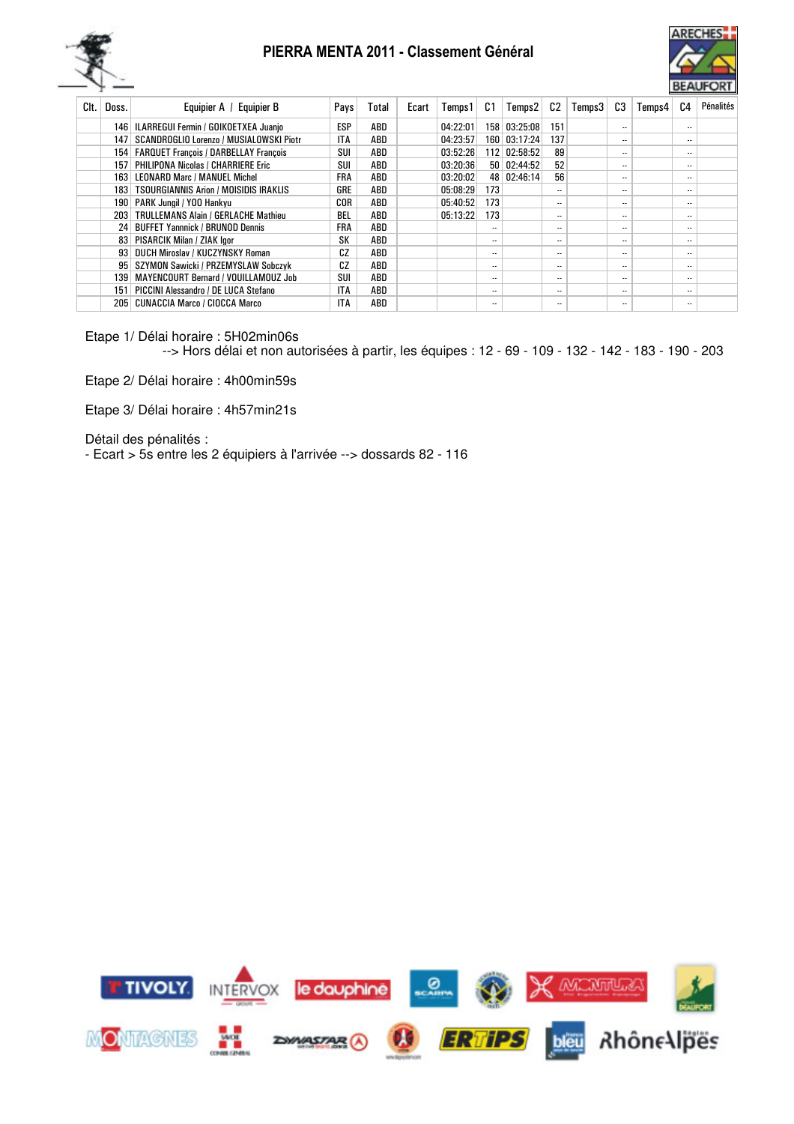



| Clt. | Doss.            | Equipier A / Equipier B                     | Pays       | Total | Ecart | Temps 1  | C1               | Temps2        | C2  | Temps3 | C3                       | Temps4 | C4                       | Pénalités |
|------|------------------|---------------------------------------------|------------|-------|-------|----------|------------------|---------------|-----|--------|--------------------------|--------|--------------------------|-----------|
|      |                  | 146   ILARREGUI Fermin / GOIKOETXEA Juanio  | ESP        | ABD   |       | 04:22:01 | 158 <sup>1</sup> | 03:25:08      | 151 |        | $\overline{\phantom{a}}$ |        | $\overline{\phantom{a}}$ |           |
|      | 147              | SCANDROGLIO Lorenzo / MUSIALOWSKI Piotr     | <b>ITA</b> | ABD   |       | 04:23:57 |                  | 160 03:17:24  | 137 |        | $\overline{\phantom{a}}$ |        | $\ddotsc$                |           |
|      |                  | 154   FARQUET François / DARBELLAY François | SUI        | ABD   |       | 03:52:26 |                  | 112 02:58:52  | 89  |        | $\overline{\phantom{a}}$ |        | $\ddotsc$                |           |
|      | 157 <sup>1</sup> | <b>PHILIPONA Nicolas / CHARRIERE Eric</b>   | SUI        | ABD   |       | 03:20:36 |                  | 50   02:44:52 | 52  |        | $\overline{\phantom{a}}$ |        | $\ddotsc$                |           |
|      |                  | 163 LEONARD Marc / MANUEL Michel            | FRA        | ABD   |       | 03:20:02 |                  | 48 02:46:14   | 56  |        | $\overline{\phantom{a}}$ |        | $\ddotsc$                |           |
|      |                  | 183   TSOURGIANNIS Arion / MOISIDIS IRAKLIS | GRE        | ABD   |       | 05:08:29 | 173              |               |     |        | $\overline{\phantom{a}}$ |        | $\cdot$ .                |           |
|      |                  | 190   PARK Jungil / YOO Hankvu              | COR        | ABD   |       | 05:40:52 | 173              |               |     |        | $\overline{\phantom{a}}$ |        | $\ddotsc$                |           |
|      |                  | 203   TRULLEMANS Alain / GERLACHE Mathieu   | BEL        | ABD   |       | 05:13:22 | 173              |               |     |        | $\overline{\phantom{a}}$ |        | $\cdot$ .                |           |
|      |                  | 24 BUFFET Yannnick / BRUNOD Dennis          | FRA        | ABD   |       |          |                  |               |     |        | $\overline{\phantom{a}}$ |        | $\ddotsc$                |           |
|      |                  | 83   PISARCIK Milan / ZIAK lgor             | SK         | ABD   |       |          |                  |               |     |        | $\overline{\phantom{a}}$ |        | $\ddotsc$                |           |
|      |                  | 93 DUCH Miroslav / KUCZYNSKY Roman          | CZ         | ABD   |       |          |                  |               |     |        | $\overline{\phantom{a}}$ |        | $\ddotsc$                |           |
|      |                  | 95 SZYMON Sawicki / PRZEMYSLAW Sobczyk      | CZ         | ABD   |       |          |                  |               |     |        | $\overline{\phantom{a}}$ |        | $\ddotsc$                |           |
|      | 1391             | MAYENCOURT Bernard / VOUILLAMOUZ Job        | SUI        | ABD   |       |          | $\ddotsc$        |               |     |        | $\overline{\phantom{a}}$ |        | $\cdot$ .                |           |
|      | 151              | PICCINI Alessandro / DE LUCA Stefano        | ITA        | ABD   |       |          |                  |               |     |        | $\overline{\phantom{a}}$ |        | $\ddotsc$                |           |
|      | 205              | <b>CUNACCIA Marco / CIOCCA Marco</b>        | <b>ITA</b> | ABD   |       |          | $\ddotsc$        |               |     |        | $\overline{\phantom{a}}$ |        | $\cdot$ .                |           |
|      |                  |                                             |            |       |       |          |                  |               |     |        |                          |        |                          |           |

Etape 1/ Délai horaire : 5H02min06s

--> Hors délai et non autorisées à partir, les équipes : 12 - 69 - 109 - 132 - 142 - 183 - 190 - 203

Etape 2/ Délai horaire : 4h00min59s

Etape 3/ Délai horaire : 4h57min21s

Détail des pénalités :

- Ecart > 5s entre les 2 équipiers à l'arrivée --> dossards 82 - 116